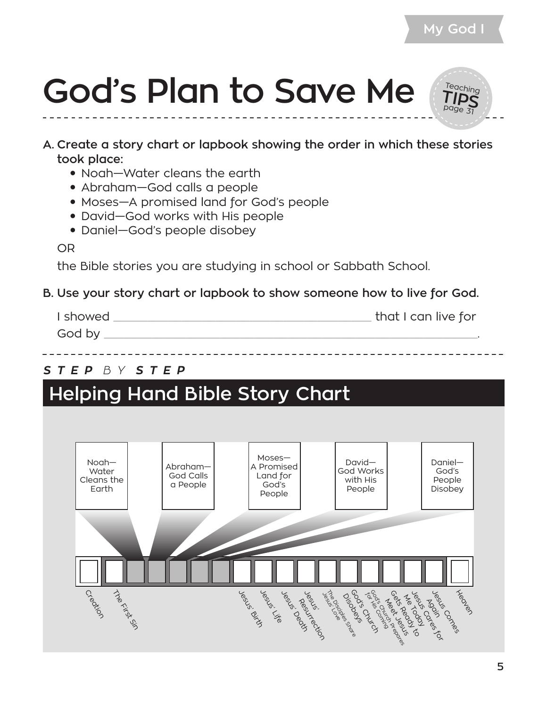Teaching **TIPS** page 31



- **A. Create a story chart or lapbook showing the order in which these stories took place:**
	- Noah—Water cleans the earth
	- Abraham—God calls a people
	- Moses—A promised land for God's people
	- David–God works with His people
	- Daniel–God's people disobey

OR

the Bible stories you are studying in school or Sabbath School.

#### **B. Use your story chart or lapbook to show someone how to live for God.**

| I showed | that I can live for |
|----------|---------------------|
| God by   |                     |

#### *S T E P B Y S T E P*

#### **Helping Hand Bible Story Chart**

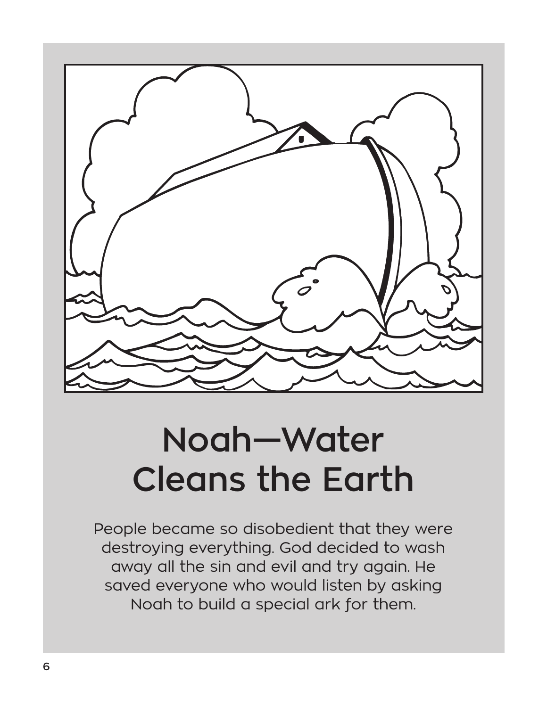

#### **Noah—Water Cleans the Earth**

People became so disobedient that they were destroying everything. God decided to wash away all the sin and evil and try again. He saved everyone who would listen by asking Noah to build a special ark for them.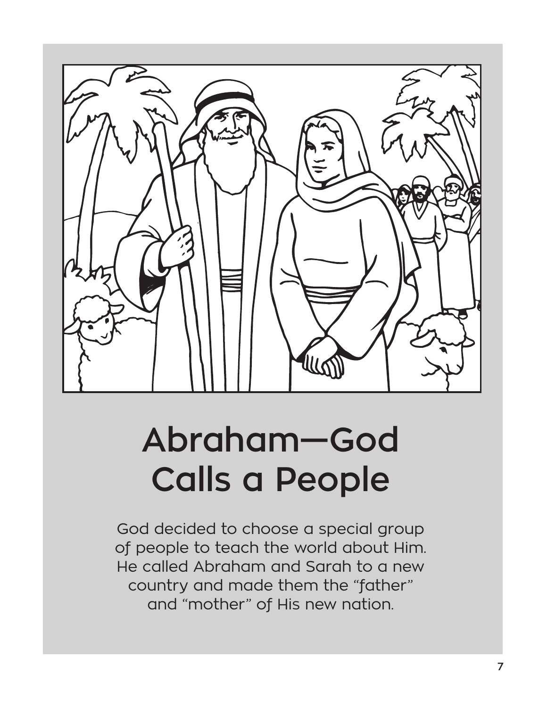

### **Abraham—God Calls a People**

God decided to choose a special group of people to teach the world about Him. He called Abraham and Sarah to a new country and made them the "father" and "mother" of His new nation.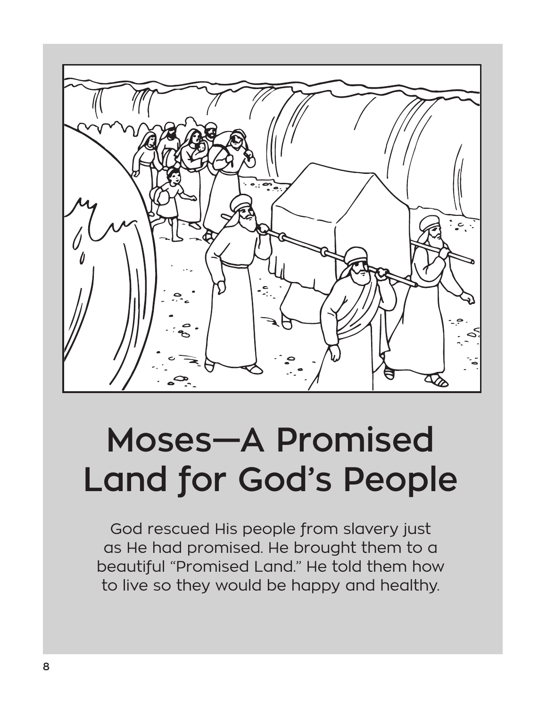

# **Moses—A Promised Land for God's People**

God rescued His people from slavery just as He had promised. He brought them to a beautiful "Promised Land." He told them how to live so they would be happy and healthy.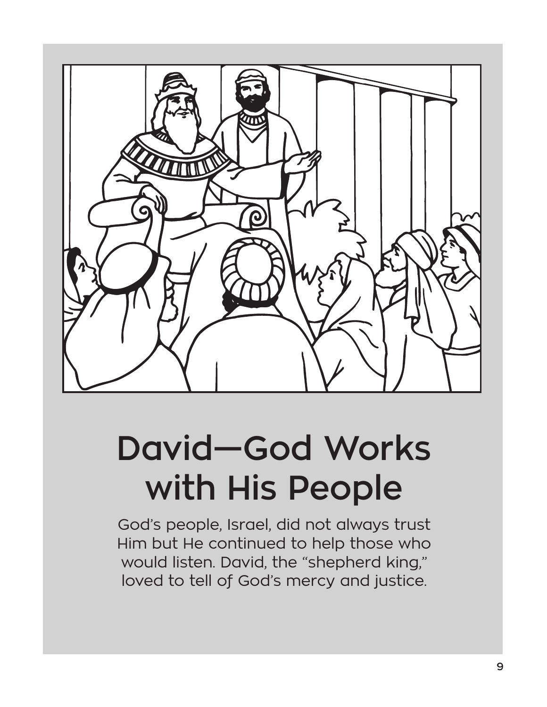

# **David—God Works with His People**

God's people, Israel, did not always trust Him but He continued to help those who would listen. David, the "shepherd king," loved to tell of God's mercy and justice.